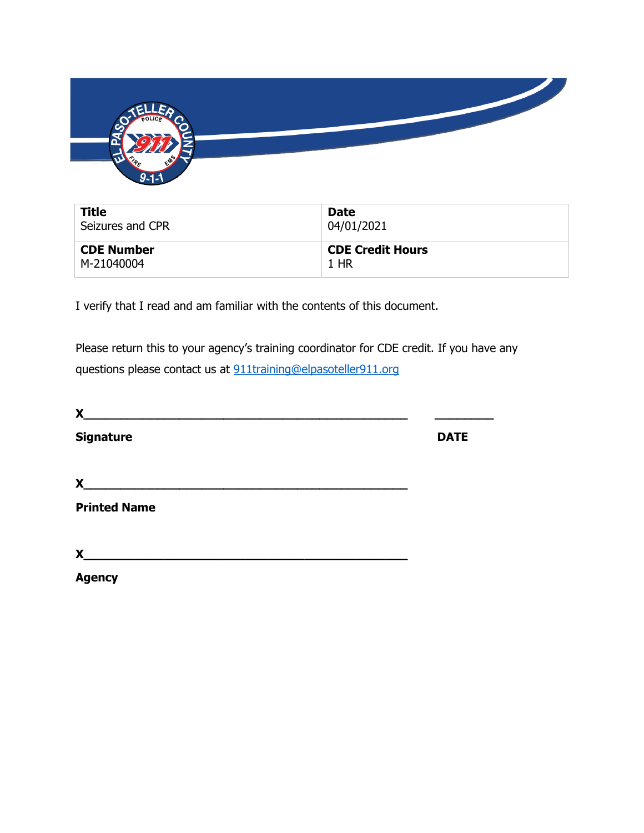

| <b>Title</b>      | <b>Date</b>             |
|-------------------|-------------------------|
| Seizures and CPR  | 04/01/2021              |
| <b>CDE Number</b> | <b>CDE Credit Hours</b> |
| M-21040004        | 1 HR                    |

I verify that I read and am familiar with the contents of this document.

Please return this to your agency's training coordinator for CDE credit. If you have any questions please contact us at [911training@elpasoteller911.org](mailto:911training@elpasoteller911.org)

| X                   |             |
|---------------------|-------------|
| <b>Signature</b>    | <b>DATE</b> |
| X                   |             |
| <b>Printed Name</b> |             |
| X                   |             |
| <b>Agency</b>       |             |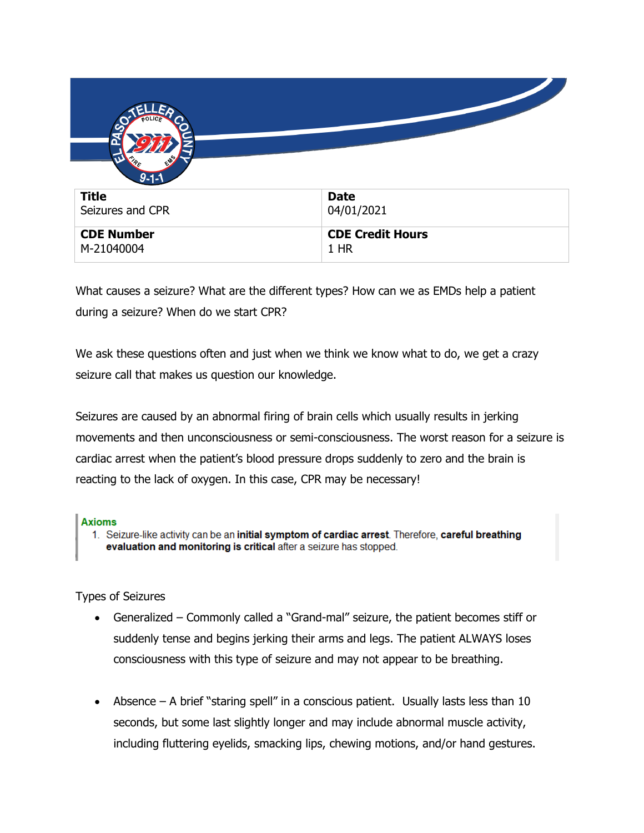| $9 - 1 - 1$       |                         |
|-------------------|-------------------------|
| <b>Title</b>      | <b>Date</b>             |
| Seizures and CPR  | 04/01/2021              |
| <b>CDE Number</b> | <b>CDE Credit Hours</b> |
| M-21040004        | 1 HR                    |

What causes a seizure? What are the different types? How can we as EMDs help a patient during a seizure? When do we start CPR?

We ask these questions often and just when we think we know what to do, we get a crazy seizure call that makes us question our knowledge.

Seizures are caused by an abnormal firing of brain cells which usually results in jerking movements and then unconsciousness or semi-consciousness. The worst reason for a seizure is cardiac arrest when the patient's blood pressure drops suddenly to zero and the brain is reacting to the lack of oxygen. In this case, CPR may be necessary!

## **Axioms**

1. Seizure-like activity can be an initial symptom of cardiac arrest. Therefore, careful breathing evaluation and monitoring is critical after a seizure has stopped.

Types of Seizures

- Generalized Commonly called a "Grand-mal" seizure, the patient becomes stiff or suddenly tense and begins jerking their arms and legs. The patient ALWAYS loses consciousness with this type of seizure and may not appear to be breathing.
- Absence  $-$  A brief "staring spell" in a conscious patient. Usually lasts less than 10 seconds, but some last slightly longer and may include abnormal muscle activity, including fluttering eyelids, smacking lips, chewing motions, and/or hand gestures.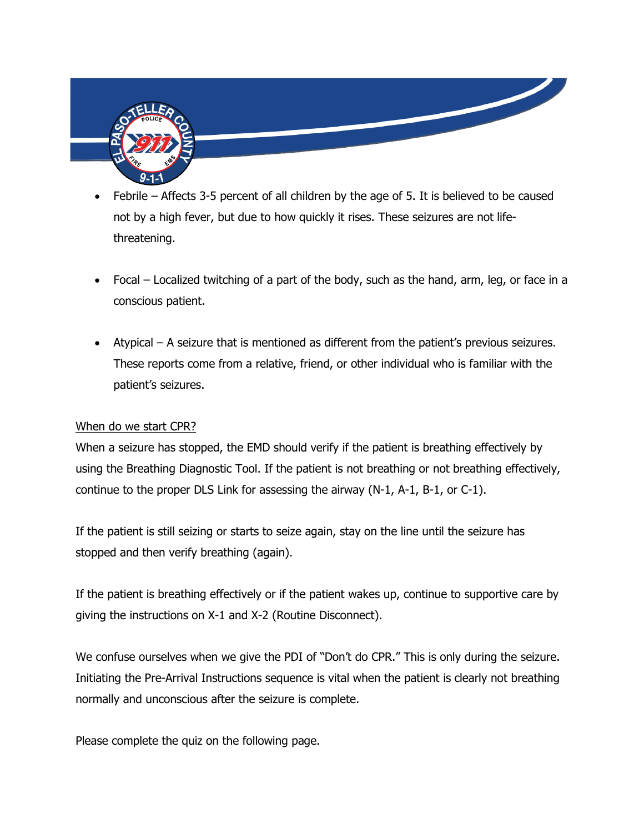

- Febrile Affects 3-5 percent of all children by the age of 5. It is believed to be caused not by a high fever, but due to how quickly it rises. These seizures are not lifethreatening.
- Focal Localized twitching of a part of the body, such as the hand, arm, leg, or face in a conscious patient.
- Atypical A seizure that is mentioned as different from the patient's previous seizures. These reports come from a relative, friend, or other individual who is familiar with the patient's seizures.

## When do we start CPR?

When a seizure has stopped, the EMD should verify if the patient is breathing effectively by using the Breathing Diagnostic Tool. If the patient is not breathing or not breathing effectively, continue to the proper DLS Link for assessing the airway (N-1, A-1, B-1, or C-1).

If the patient is still seizing or starts to seize again, stay on the line until the seizure has stopped and then verify breathing (again).

If the patient is breathing effectively or if the patient wakes up, continue to supportive care by giving the instructions on X-1 and X-2 (Routine Disconnect).

We confuse ourselves when we give the PDI of "Don't do CPR." This is only during the seizure. Initiating the Pre-Arrival Instructions sequence is vital when the patient is clearly not breathing normally and unconscious after the seizure is complete.

Please complete the quiz on the following page.